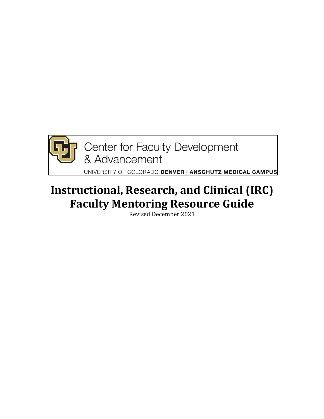

# **Instructional, Research, and Clinical (IRC) Faculty Mentoring Resource Guide**

Revised December 2021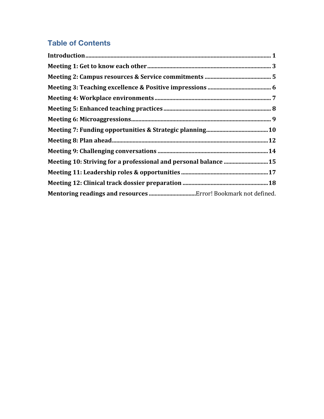# **Table of Contents**

| Meeting 10: Striving for a professional and personal balance  15 |
|------------------------------------------------------------------|
|                                                                  |
|                                                                  |
|                                                                  |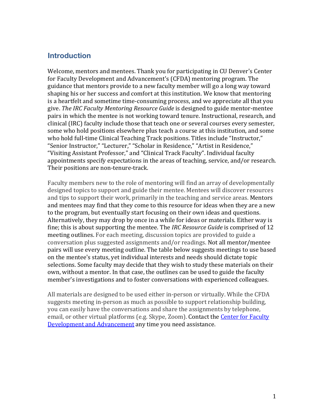### **Introduction**

Welcome, mentors and mentees. Thank you for participating in CU Denver's Center for Faculty Development and Advancement's (CFDA) mentoring program. The guidance that mentors provide to a new faculty member will go a long way toward shaping his or her success and comfort at this institution. We know that mentoring is a heartfelt and sometime time-consuming process, and we appreciate all that you give. The IRC Faculty Mentoring Resource Guide is designed to guide mentor-mentee pairs in which the mentee is not working toward tenure. Instructional, research, and clinical (IRC) faculty include those that teach one or several courses every semester, some who hold positions elsewhere plus teach a course at this institution, and some who hold full-time Clinical Teaching Track positions. Titles include "Instructor," "Senior Instructor," "Lecturer," "Scholar in Residence," "Artist in Residence," "Visiting Assistant Professor," and "Clinical Track Faculty". Individual faculty appointments specify expectations in the areas of teaching, service, and/or research. Their positions are non-tenure-track.

Faculty members new to the role of mentoring will find an array of developmentally designed topics to support and guide their mentee. Mentees will discover resources and tips to support their work, primarily in the teaching and service areas. Mentors and mentees may find that they come to this resource for ideas when they are a new to the program, but eventually start focusing on their own ideas and questions. Alternatively, they may drop by once in a while for ideas or materials. Either way is fine; this is about supporting the mentee. The *IRC Resource Guide* is comprised of 12 meeting outlines. For each meeting, discussion topics are provided to guide a conversation plus suggested assignments and/or readings. Not all mentor/mentee pairs will use every meeting outline. The table below suggests meetings to use based on the mentee's status, yet individual interests and needs should dictate topic selections. Some faculty may decide that they wish to study these materials on their own, without a mentor. In that case, the outlines can be used to guide the faculty member's investigations and to foster conversations with experienced colleagues.

All materials are designed to be used either in-person or virtually. While the CFDA suggests meeting in-person as much as possible to support relationship building, you can easily have the conversations and share the assignments by telephone, email, or other virtual platforms (e.g. Skype, Zoom). Contact the Center for Faculty Development and Advancement any time you need assistance.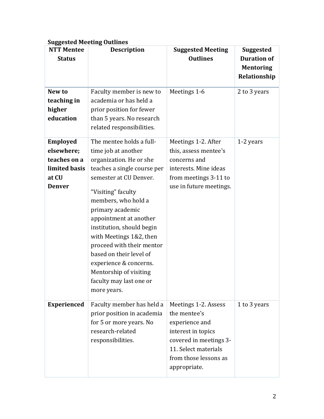| <b>Suggested Meeting Outlines</b> |  |
|-----------------------------------|--|
|                                   |  |

| <b>NTT Mentee</b><br><b>Status</b> | <b>Description</b>                                    | <b>Suggested Meeting</b><br><b>Outlines</b> | <b>Suggested</b><br><b>Duration of</b> |
|------------------------------------|-------------------------------------------------------|---------------------------------------------|----------------------------------------|
|                                    |                                                       |                                             | <b>Mentoring</b>                       |
|                                    |                                                       |                                             | Relationship                           |
| New to                             | Faculty member is new to                              | Meetings 1-6                                | 2 to 3 years                           |
| teaching in                        | academia or has held a                                |                                             |                                        |
| higher<br>education                | prior position for fewer<br>than 5 years. No research |                                             |                                        |
|                                    | related responsibilities.                             |                                             |                                        |
| Employed                           | The mentee holds a full-                              | Meetings 1-2. After                         | 1-2 years                              |
| elsewhere;                         | time job at another                                   | this, assess mentee's                       |                                        |
| teaches on a                       | organization. He or she                               | concerns and                                |                                        |
| limited basis                      | teaches a single course per                           | interests. Mine ideas                       |                                        |
| at CU                              | semester at CU Denver.                                | from meetings 3-11 to                       |                                        |
| <b>Denver</b>                      | "Visiting" faculty                                    | use in future meetings.                     |                                        |
|                                    | members, who hold a                                   |                                             |                                        |
|                                    | primary academic                                      |                                             |                                        |
|                                    | appointment at another                                |                                             |                                        |
|                                    | institution, should begin                             |                                             |                                        |
|                                    | with Meetings 1&2, then                               |                                             |                                        |
|                                    | proceed with their mentor                             |                                             |                                        |
|                                    | based on their level of                               |                                             |                                        |
|                                    | experience & concerns.                                |                                             |                                        |
|                                    | Mentorship of visiting                                |                                             |                                        |
|                                    | faculty may last one or                               |                                             |                                        |
|                                    | more years.                                           |                                             |                                        |
| <b>Experienced</b>                 | Faculty member has held a                             | Meetings 1-2. Assess                        | 1 to 3 years                           |
|                                    | prior position in academia                            | the mentee's                                |                                        |
|                                    | for 5 or more years. No                               | experience and                              |                                        |
|                                    | research-related                                      | interest in topics                          |                                        |
|                                    | responsibilities.                                     | covered in meetings 3-                      |                                        |
|                                    |                                                       | 11. Select materials                        |                                        |
|                                    |                                                       | from those lessons as                       |                                        |
|                                    |                                                       | appropriate.                                |                                        |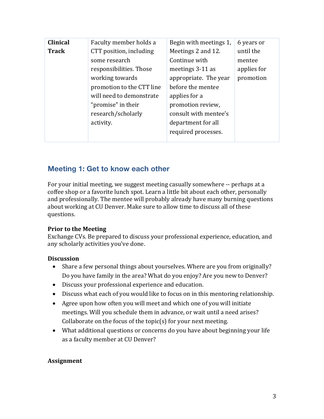| <b>Clinical</b> | Faculty member holds a    | Begin with meetings 1, | 6 years or  |
|-----------------|---------------------------|------------------------|-------------|
| <b>Track</b>    | CTT position, including   | Meetings 2 and 12.     | until the   |
|                 | some research             | Continue with          | mentee      |
|                 | responsibilities. Those   | meetings 3-11 as       | applies for |
|                 | working towards           | appropriate. The year  | promotion   |
|                 | promotion to the CTT line | before the mentee      |             |
|                 | will need to demonstrate  | applies for a          |             |
|                 | "promise" in their        | promotion review,      |             |
|                 | research/scholarly        | consult with mentee's  |             |
|                 | activity.                 | department for all     |             |
|                 |                           | required processes.    |             |
|                 |                           |                        |             |

### **Meeting 1: Get to know each other**

For your initial meeting, we suggest meeting casually somewhere -- perhaps at a coffee shop or a favorite lunch spot. Learn a little bit about each other, personally and professionally. The mentee will probably already have many burning questions about working at CU Denver. Make sure to allow time to discuss all of these questions.

#### **Prior to the Meeting**

Exchange CVs. Be prepared to discuss your professional experience, education, and any scholarly activities you've done.

#### **Discussion**

- Share a few personal things about yourselves. Where are you from originally? Do you have family in the area? What do you enjoy? Are you new to Denver?
- Discuss your professional experience and education.
- Discuss what each of you would like to focus on in this mentoring relationship.
- Agree upon how often you will meet and which one of you will initiate meetings. Will you schedule them in advance, or wait until a need arises? Collaborate on the focus of the topic(s) for your next meeting.
- What additional questions or concerns do you have about beginning your life as a faculty member at CU Denver?

#### **Assignment**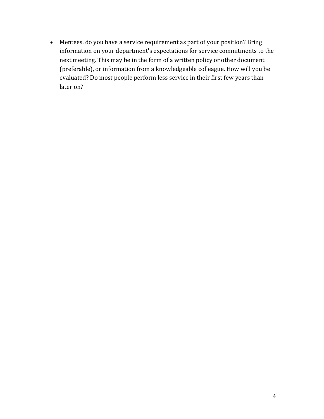• Mentees, do you have a service requirement as part of your position? Bring information on your department's expectations for service commitments to the next meeting. This may be in the form of a written policy or other document (preferable), or information from a knowledgeable colleague. How will you be evaluated? Do most people perform less service in their first few years than later on?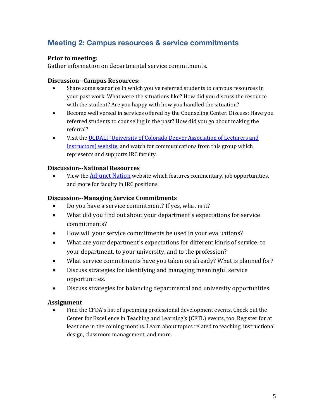# **Meeting 2: Campus resources & service commitments**

#### **Prior to meeting:**

Gather information on departmental service commitments.

#### **Discussion--Campus Resources:**

- Share some scenarios in which you've referred students to campus resources in your past work. What were the situations like? How did you discuss the resource with the student? Are you happy with how you handled the situation?
- Become well versed in services offered by the Counseling Center. Discuss: Have you referred students to counseling in the past? How did you go about making the referral?
- Visit the UCDALI (University of Colorado Denver Association of Lecturers and Instructors) website, and watch for communications from this group which represents and supports IRC faculty.

#### **Discussion--National Resources**

View the Adjunct Nation website which features commentary, job opportunities, and more for faculty in IRC positions.

#### **Discussion--Managing Service Commitments**

- Do you have a service commitment? If yes, what is it?
- What did you find out about your department's expectations for service commitments?
- How will your service commitments be used in your evaluations?
- What are your department's expectations for different kinds of service: to your department, to your university, and to the profession?
- What service commitments have you taken on already? What is planned for?
- Discuss strategies for identifying and managing meaningful service opportunities.
- Discuss strategies for balancing departmental and university opportunities.

#### **Assignment**

Find the CFDA's list of upcoming professional development events. Check out the Center for Excellence in Teaching and Learning's (CETL) events, too. Register for at least one in the coming months. Learn about topics related to teaching, instructional design, classroom management, and more.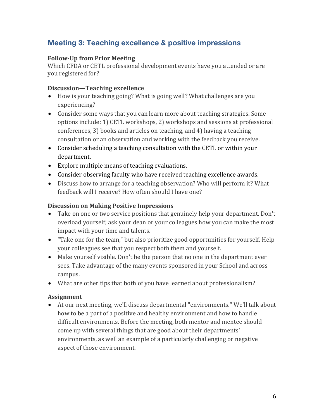# **Meeting 3: Teaching excellence & positive impressions**

#### **Follow-Up from Prior Meeting**

Which CFDA or CETL professional development events have you attended or are you registered for?

#### **Discussion—Teaching excellence**

- How is your teaching going? What is going well? What challenges are you experiencing?
- Consider some ways that you can learn more about teaching strategies. Some options include: 1) CETL workshops, 2) workshops and sessions at professional conferences, 3) books and articles on teaching, and 4) having a teaching consultation or an observation and working with the feedback you receive.
- Consider scheduling a teaching consultation with the CETL or within your department.
- Explore multiple means of teaching evaluations.
- Consider observing faculty who have received teaching excellence awards.
- Discuss how to arrange for a teaching observation? Who will perform it? What feedback will I receive? How often should I have one?

#### **Discussion on Making Positive Impressions**

- Take on one or two service positions that genuinely help your department. Don't overload yourself; ask your dean or your colleagues how you can make the most impact with your time and talents.
- "Take one for the team," but also prioritize good opportunities for yourself. Help your colleagues see that you respect both them and yourself.
- Make yourself visible. Don't be the person that no one in the department ever sees. Take advantage of the many events sponsored in your School and across campus.
- What are other tips that both of you have learned about professionalism?

#### **Assignment**

• At our next meeting, we'll discuss departmental "environments." We'll talk about how to be a part of a positive and healthy environment and how to handle difficult environments. Before the meeting, both mentor and mentee should come up with several things that are good about their departments' environments, as well an example of a particularly challenging or negative aspect of those environment.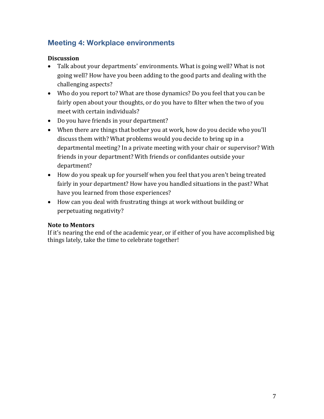# **Meeting 4: Workplace environments**

#### **Discussion**

- Talk about your departments' environments. What is going well? What is not going well? How have you been adding to the good parts and dealing with the challenging aspects?
- Who do you report to? What are those dynamics? Do you feel that you can be fairly open about your thoughts, or do you have to filter when the two of you meet with certain individuals?
- Do you have friends in your department?
- When there are things that bother you at work, how do you decide who you'll discuss them with? What problems would you decide to bring up in a departmental meeting? In a private meeting with your chair or supervisor? With friends in your department? With friends or confidantes outside your department?
- How do you speak up for yourself when you feel that you aren't being treated fairly in your department? How have you handled situations in the past? What have you learned from those experiences?
- How can you deal with frustrating things at work without building or perpetuating negativity?

#### **Note to Mentors**

If it's nearing the end of the academic year, or if either of you have accomplished big things lately, take the time to celebrate together!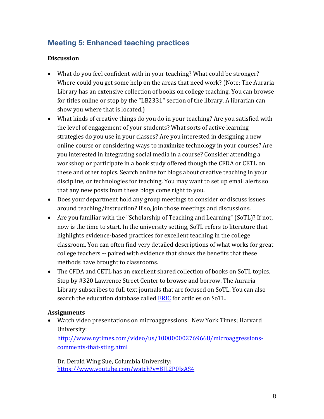# **Meeting 5: Enhanced teaching practices**

#### **Discussion**

- What do you feel confident with in your teaching? What could be stronger? Where could you get some help on the areas that need work? (Note: The Auraria Library has an extensive collection of books on college teaching. You can browse for titles online or stop by the "LB2331" section of the library. A librarian can show you where that is located.)
- What kinds of creative things do you do in your teaching? Are you satisfied with the level of engagement of your students? What sorts of active learning strategies do you use in your classes? Are you interested in designing a new online course or considering ways to maximize technology in your courses? Are you interested in integrating social media in a course? Consider attending a workshop or participate in a book study offered though the CFDA or CETL on these and other topics. Search online for blogs about creative teaching in your discipline, or technologies for teaching. You may want to set up email alerts so that any new posts from these blogs come right to you.
- Does your department hold any group meetings to consider or discuss issues around teaching/instruction? If so, join those meetings and discussions.
- Are you familiar with the "Scholarship of Teaching and Learning" (SoTL)? If not, now is the time to start. In the university setting, SoTL refers to literature that highlights evidence-based practices for excellent teaching in the college classroom. You can often find very detailed descriptions of what works for great college teachers -- paired with evidence that shows the benefits that these methods have brought to classrooms.
- The CFDA and CETL has an excellent shared collection of books on SoTL topics. Stop by #320 Lawrence Street Center to browse and borrow. The Auraria Library subscribes to full-text journals that are focused on SoTL. You can also search the education database called **ERIC** for articles on SoTL.

#### **Assignments**

• Watch video presentations on microaggressions: New York Times; Harvard University:

http://www.nytimes.com/video/us/100000002769668/microaggressionscomments-that-sting.html

Dr. Derald Wing Sue, Columbia University: https://www.youtube.com/watch?v=BJL2P0JsAS4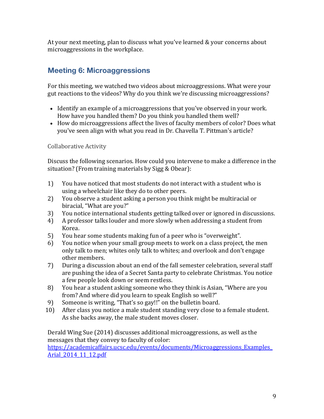At your next meeting, plan to discuss what you've learned & your concerns about microaggressions in the workplace.

# **Meeting 6: Microaggressions**

For this meeting, we watched two videos about microaggressions. What were your gut reactions to the videos? Why do you think we're discussing microaggressions?

- Identify an example of a microaggressions that you've observed in your work. How have you handled them? Do you think you handled them well?
- How do microaggressions affect the lives of faculty members of color? Does what you've seen align with what you read in Dr. Chavella T. Pittman's article?

#### Collaborative Activity

Discuss the following scenarios. How could you intervene to make a difference in the situation? (From training materials by Sigg & Obear):

- 1) You have noticed that most students do not interact with a student who is using a wheelchair like they do to other peers.
- 2) You observe a student asking a person you think might be multiracial or biracial, "What are you?"
- 3) You notice international students getting talked over or ignored in discussions.
- 4) A professor talks louder and more slowly when addressing a student from Korea.
- 5) You hear some students making fun of a peer who is "overweight".
- 6) You notice when your small group meets to work on a class project, the men only talk to men; whites only talk to whites; and overlook and don't engage other members.
- 7) During a discussion about an end of the fall semester celebration, several staff are pushing the idea of a Secret Santa party to celebrate Christmas. You notice a few people look down or seem restless.
- 8) You hear a student asking someone who they think is Asian, "Where are you from? And where did you learn to speak English so well?"
- 9) Someone is writing, "That's so gay!!" on the bulletin board.
- 10) After class you notice a male student standing very close to a female student. As she backs away, the male student moves closer.

Derald Wing Sue (2014) discusses additional microaggressions, as well as the messages that they convey to faculty of color:

https://academicaffairs.ucsc.edu/events/documents/Microaggressions\_Examples\_ Arial\_2014\_11\_12.pdf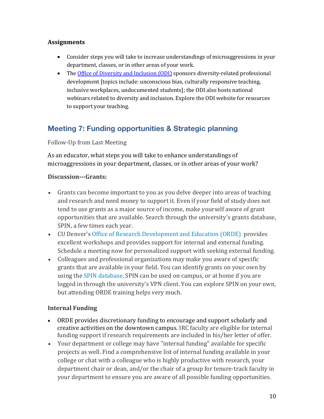#### **Assignments**

- Consider steps you will take to increase understandings of microaggressions in your department, classes, or in other areas of your work.
- The Office of Diversity and Inclusion (ODI) sponsors diversity-related professional development [topics include: unconscious bias, culturally responsive teaching, inclusive workplaces, undocumented students]; the ODI also hosts national webinars related to diversity and inclusion. Explore the ODI website for resources to support your teaching.

# **Meeting 7: Funding opportunities & Strategic planning**

Follow-Up from Last Meeting

As an educator, what steps you will take to enhance understandings of microaggressions in your department, classes, or in other areas of your work?

#### **Discussion---Grants:**

- Grants can become important to you as you delve deeper into areas of teaching and research and need money to support it. Even if your field of study does not tend to use grants as a major source of income, make yourself aware of grant opportunities that are available. Search through the university's grants database, SPIN, a few times each year.
- CU Denver's Office of Research Development and Education (ORDE) provides excellent workshops and provides support for internal and external funding. Schedule a meeting now for personalized support with seeking external funding.
- Colleagues and professional organizations may make you aware of specific grants that are available in your field. You can identify grants on your own by using the SPIN database. SPIN can be used on campus, or at home if you are logged in through the university's VPN client. You can explore SPIN on your own, but attending ORDE training helps very much.

#### **Internal Funding**

- ORDE provides discretionary funding to encourage and support scholarly and creative activities on the downtown campus. IRC faculty are eligible for internal funding support if research requirements are included in his/her letter of offer.
- Your department or college may have "internal funding" available for specific projects as well. Find a comprehensive list of internal funding available in your college or chat with a colleague who is highly productive with research, your department chair or dean, and/or the chair of a group for tenure-track faculty in your department to ensure you are aware of all possible funding opportunities.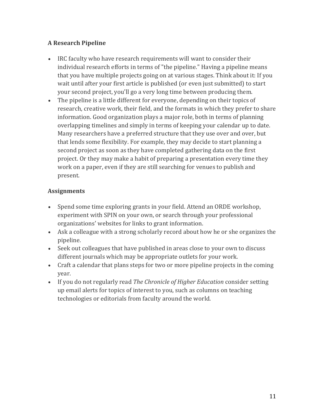### **A Research Pipeline**

- IRC faculty who have research requirements will want to consider their individual research efforts in terms of "the pipeline." Having a pipeline means that you have multiple projects going on at various stages. Think about it: If you wait until after your first article is published (or even just submitted) to start your second project, you'll go a very long time between producing them.
- The pipeline is a little different for everyone, depending on their topics of research, creative work, their field, and the formats in which they prefer to share information. Good organization plays a major role, both in terms of planning overlapping timelines and simply in terms of keeping your calendar up to date. Many researchers have a preferred structure that they use over and over, but that lends some flexibility. For example, they may decide to start planning a second project as soon as they have completed gathering data on the first project. Or they may make a habit of preparing a presentation every time they work on a paper, even if they are still searching for venues to publish and present.

#### **Assignments**

- Spend some time exploring grants in your field. Attend an ORDE workshop, experiment with SPIN on your own, or search through your professional organizations' websites for links to grant information.
- Ask a colleague with a strong scholarly record about how he or she organizes the pipeline.
- Seek out colleagues that have published in areas close to your own to discuss different journals which may be appropriate outlets for your work.
- Craft a calendar that plans steps for two or more pipeline projects in the coming year.
- If you do not regularly read *The Chronicle of Higher Education* consider setting up email alerts for topics of interest to you, such as columns on teaching technologies or editorials from faculty around the world.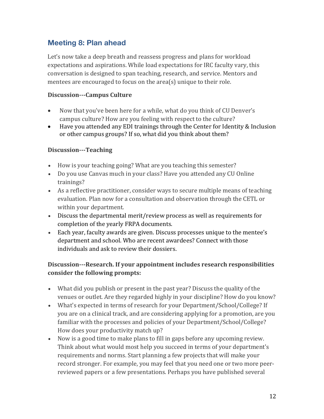## **Meeting 8: Plan ahead**

Let's now take a deep breath and reassess progress and plans for workload expectations and aspirations. While load expectations for IRC faculty vary, this conversation is designed to span teaching, research, and service. Mentors and mentees are encouraged to focus on the area(s) unique to their role.

#### **Discussion---Campus Culture**

- Now that you've been here for a while, what do you think of CU Denver's campus culture? How are you feeling with respect to the culture?
- Have you attended any EDI trainings through the Center for Identity & Inclusion or other campus groups? If so, what did you think about them?

#### **Discussion---Teaching**

- How is your teaching going? What are you teaching this semester?
- Do you use Canvas much in your class? Have you attended any CU Online trainings?
- As a reflective practitioner, consider ways to secure multiple means of teaching evaluation. Plan now for a consultation and observation through the CETL or within your department.
- Discuss the departmental merit/review process as well as requirements for completion of the yearly FRPA documents.
- Each year, faculty awards are given. Discuss processes unique to the mentee's department and school. Who are recent awardees? Connect with those individuals and ask to review their dossiers.

### **Discussion---Research.** If your appointment includes research responsibilities consider the following prompts:

- What did you publish or present in the past year? Discuss the quality of the venues or outlet. Are they regarded highly in your discipline? How do you know?
- What's expected in terms of research for your Department/School/College? If you are on a clinical track, and are considering applying for a promotion, are you familiar with the processes and policies of your Department/School/College? How does your productivity match up?
- Now is a good time to make plans to fill in gaps before any upcoming review. Think about what would most help you succeed in terms of your department's requirements and norms. Start planning a few projects that will make your record stronger. For example, you may feel that you need one or two more peerreviewed papers or a few presentations. Perhaps you have published several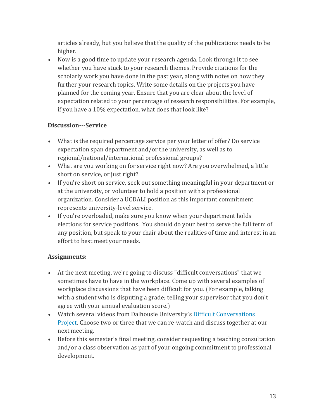articles already, but you believe that the quality of the publications needs to be higher. 

• Now is a good time to update your research agenda. Look through it to see whether you have stuck to your research themes. Provide citations for the scholarly work you have done in the past year, along with notes on how they further your research topics. Write some details on the projects you have planned for the coming year. Ensure that you are clear about the level of expectation related to your percentage of research responsibilities. For example, if you have a 10% expectation, what does that look like?

#### **Discussion---Service**

- What is the required percentage service per your letter of offer? Do service expectation span department and/or the university, as well as to regional/national/international professional groups?
- What are you working on for service right now? Are you overwhelmed, a little short on service, or just right?
- If you're short on service, seek out something meaningful in your department or at the university, or volunteer to hold a position with a professional organization. Consider a UCDALI position as this important commitment represents university-level service.
- If you're overloaded, make sure you know when your department holds elections for service positions. You should do your best to serve the full term of any position, but speak to your chair about the realities of time and interest in an effort to best meet your needs.

#### **Assignments:**

- At the next meeting, we're going to discuss "difficult conversations" that we sometimes have to have in the workplace. Come up with several examples of workplace discussions that have been difficult for you. (For example, talking with a student who is disputing a grade; telling your supervisor that you don't agree with your annual evaluation score.)
- Watch several videos from Dalhousie University's Difficult Conversations Project. Choose two or three that we can re-watch and discuss together at our next meeting.
- Before this semester's final meeting, consider requesting a teaching consultation and/or a class observation as part of your ongoing commitment to professional development.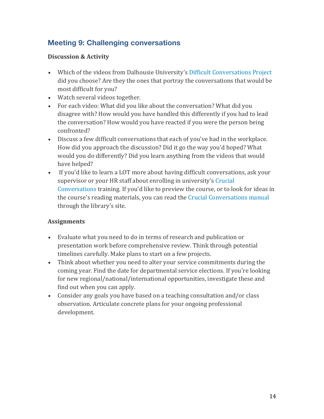# **Meeting 9: Challenging conversations**

#### **Discussion & Activity**

- Which of the videos from Dalhousie University's Difficult Conversations Project did you choose? Are they the ones that portray the conversations that would be most difficult for you?
- Watch several videos together.
- For each video: What did you like about the conversation? What did you disagree with? How would you have handled this differently if you had to lead the conversation? How would you have reacted if you were the person being confronted?
- Discuss a few difficult conversations that each of you've had in the workplace. How did you approach the discussion? Did it go the way you'd hoped? What would you do differently? Did you learn anything from the videos that would have helped?
- If you'd like to learn a LOT more about having difficult conversations, ask your supervisor or your HR staff about enrolling in university's Crucial Conversations training. If you'd like to preview the course, or to look for ideas in the course's reading materials, you can read the Crucial Conversations manual through the library's site.

#### **Assignments**

- Evaluate what you need to do in terms of research and publication or presentation work before comprehensive review. Think through potential timelines carefully. Make plans to start on a few projects.
- Think about whether you need to alter your service commitments during the coming year. Find the date for departmental service elections. If you're looking for new regional/national/international opportunities, investigate these and find out when you can apply.
- Consider any goals you have based on a teaching consultation and/or class observation. Articulate concrete plans for your ongoing professional development.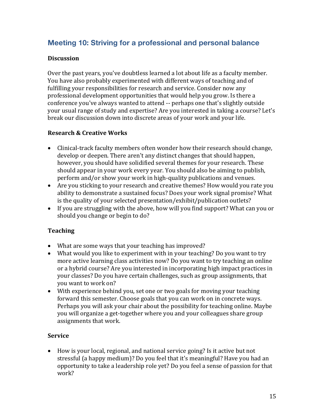# **Meeting 10: Striving for a professional and personal balance**

#### **Discussion**

Over the past years, you've doubtless learned a lot about life as a faculty member. You have also probably experimented with different ways of teaching and of fulfilling your responsibilities for research and service. Consider now any professional development opportunities that would help you grow. Is there a conference you've always wanted to attend -- perhaps one that's slightly outside your usual range of study and expertise? Are you interested in taking a course? Let's break our discussion down into discrete areas of your work and your life.

#### **Research & Creative Works**

- Clinical-track faculty members often wonder how their research should change, develop or deepen. There aren't any distinct changes that should happen, however, you should have solidified several themes for your research. These should appear in your work every year. You should also be aiming to publish, perform and/or show your work in high-quality publications and venues.
- Are you sticking to your research and creative themes? How would you rate you ability to demonstrate a sustained focus? Does your work signal promise? What is the quality of your selected presentation/exhibit/publication outlets?
- If you are struggling with the above, how will you find support? What can you or should you change or begin to do?

#### **Teaching**

- What are some ways that your teaching has improved?
- What would you like to experiment with in your teaching? Do you want to try more active learning class activities now? Do you want to try teaching an online or a hybrid course? Are you interested in incorporating high impact practices in your classes? Do you have certain challenges, such as group assignments, that you want to work on?
- With experience behind you, set one or two goals for moving your teaching forward this semester. Choose goals that you can work on in concrete ways. Perhaps you will ask your chair about the possibility for teaching online. Maybe you will organize a get-together where you and your colleagues share group assignments that work.

#### **Service**

• How is your local, regional, and national service going? Is it active but not stressful (a happy medium)? Do you feel that it's meaningful? Have you had an opportunity to take a leadership role yet? Do you feel a sense of passion for that work?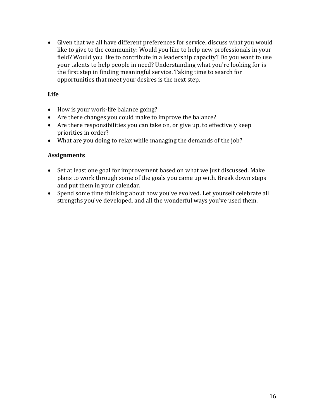• Given that we all have different preferences for service, discuss what you would like to give to the community: Would you like to help new professionals in your field? Would you like to contribute in a leadership capacity? Do you want to use your talents to help people in need? Understanding what you're looking for is the first step in finding meaningful service. Taking time to search for opportunities that meet your desires is the next step.

#### **Life**

- How is your work-life balance going?
- Are there changes you could make to improve the balance?
- Are there responsibilities you can take on, or give up, to effectively keep priorities in order?
- What are you doing to relax while managing the demands of the job?

#### **Assignments**

- Set at least one goal for improvement based on what we just discussed. Make plans to work through some of the goals you came up with. Break down steps and put them in your calendar.
- Spend some time thinking about how you've evolved. Let yourself celebrate all strengths you've developed, and all the wonderful ways you've used them.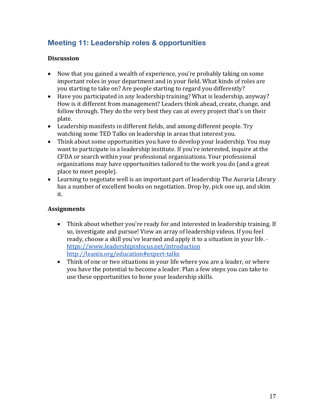# **Meeting 11: Leadership roles & opportunities**

#### **Discussion**

- Now that you gained a wealth of experience, you're probably taking on some important roles in your department and in your field. What kinds of roles are you starting to take on? Are people starting to regard you differently?
- Have you participated in any leadership training? What is leadership, anyway? How is it different from management? Leaders think ahead, create, change, and follow through. They do the very best they can at every project that's on their plate.
- Leadership manifests in different fields, and among different people. Try watching some TED Talks on leadership in areas that interest you.
- Think about some opportunities you have to develop your leadership. You may want to participate in a leadership institute. If you're interested, inquire at the CFDA or search within your professional organizations. Your professional organizations may have opportunities tailored to the work you do (and a great place to meet people).
- Learning to negotiate well is an important part of leadership The Auraria Library has a number of excellent books on negotiation. Drop by, pick one up, and skim it.

#### **Assignments**

- Think about whether you're ready for and interested in leadership training. If so, investigate and pursue! View an array of leadership videos. If you feel ready, choose a skill you've learned and apply it to a situation in your life. https://www.leadershipinfocus.net/introduction http://leanin.org/education#expert-talks
- Think of one or two situations in your life where you are a leader, or where you have the potential to become a leader. Plan a few steps you can take to use these opportunities to hone your leadership skills.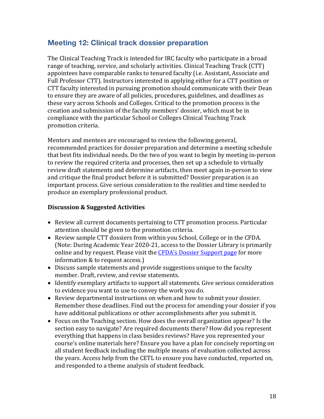### **Meeting 12: Clinical track dossier preparation**

The Clinical Teaching Track is intended for IRC faculty who participate in a broad range of teaching, service, and scholarly activities. Clinical Teaching Track (CTT) appointees have comparable ranks to tenured faculty (i.e. Assistant, Associate and Full Professor CTT). Instructors interested in applying either for a CTT position or CTT faculty interested in pursuing promotion should communicate with their Dean to ensure they are aware of all policies, procedures, guidelines, and deadlines as these vary across Schools and Colleges. Critical to the promotion process is the creation and submission of the faculty members' dossier, which must be in compliance with the particular School or Colleges Clinical Teaching Track promotion criteria.

Mentors and mentees are encouraged to review the following general, recommended practices for dossier preparation and determine a meeting schedule that best fits individual needs. Do the two of you want to begin by meeting in-person to review the required criteria and processes, then set up a schedule to virtually review draft statements and determine artifacts, then meet again in-person to view and critique the final product before it is submitted? Dossier preparation is an important process. Give serious consideration to the realities and time needed to produce an exemplary professional product.

#### **Discussion & Suggested Activities**

- Review all current documents pertaining to CTT promotion process. Particular attention should be given to the promotion criteria.
- Review sample CTT dossiers from within you School, College or in the CFDA. (Note: During Academic Year 2020-21, access to the Dossier Library is primarily online and by request. Please visit the CFDA's Dossier Support page for more information & to request access.)
- Discuss sample statements and provide suggestions unique to the faculty member. Draft, review, and revise statements.
- Identify exemplary artifacts to support all statements. Give serious consideration to evidence you want to use to convey the work you do.
- Review departmental instructions on when and how to submit your dossier. Remember those deadlines. Find out the process for amending your dossier if you have additional publications or other accomplishments after you submit it.
- Focus on the Teaching section. How does the overall organization appear? Is the section easy to navigate? Are required documents there? How did you represent everything that happens in class besides reviews? Have you represented your course's online materials here? Ensure you have a plan for concisely reporting on all student feedback including the multiple means of evaluation collected across the years. Access help from the CETL to ensure you have conducted, reported on, and responded to a theme analysis of student feedback.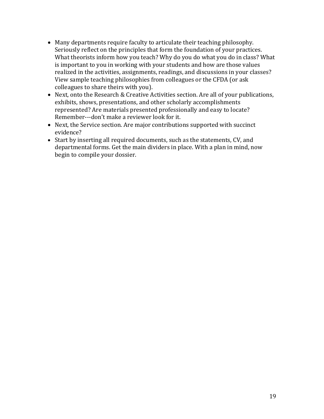- Many departments require faculty to articulate their teaching philosophy. Seriously reflect on the principles that form the foundation of your practices. What theorists inform how you teach? Why do you do what you do in class? What is important to you in working with your students and how are those values realized in the activities, assignments, readings, and discussions in your classes? View sample teaching philosophies from colleagues or the CFDA (or ask colleagues to share theirs with you).
- Next, onto the Research & Creative Activities section. Are all of your publications, exhibits, shows, presentations, and other scholarly accomplishments represented? Are materials presented professionally and easy to locate? Remember---don't make a reviewer look for it.
- Next, the Service section. Are major contributions supported with succinct evidence?
- Start by inserting all required documents, such as the statements, CV, and departmental forms. Get the main dividers in place. With a plan in mind, now begin to compile your dossier.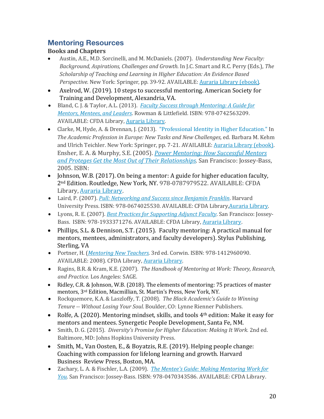### **Mentoring Resources**

### **Books and Chapters**

- Austin, A.E., M.D. Sorcinelli, and M. McDaniels. (2007). *Understanding New Faculty: Background, Aspirations, Challenges and Growth. In J.C. Smart and R.C. Perry (Eds.), The Scholarship of Teaching and Learning in Higher Education: An Evidence Based Perspective.* New York: Springer, pp. 39-92. AVAILABLE: **Auraria Library** (ebook).
- Axelrod, W. (2019). 10 steps to successful mentoring. American Society for Training and Development, Alexandria, VA.
- Bland, C. J. & Taylor, A.L. (2013). *Faculty Success through Mentoring: A Guide for Mentors, Mentees, and Leaders.* Rowman & Littlefield. ISBN: 978-0742563209. AVAILABLE: CFDA Library, Auraria Library.
- Clarke, M, Hyde, A. & Drennan, J. (2013). "Professional Identity in Higher Education." In The Academic Profession in Europe: New Tasks and New Challenges, ed. Barbara M. Kehm and Ulrich Teichler. New York: Springer, pp. 7-21. AVAILABLE: Auraria Library (ebook). Ensher, E. A. & Murphy, S.E. (2005). *Power Mentoring: How Successful Mentors and Proteges Get the Most Out of Their Relationships*. San Francisco: Jossey-Bass, 2005. ISBN:
- Johnson, W.B. (2017). On being a mentor: A guide for higher education faculty, 2<sup>nd</sup> Edition. Routledge, New York, NY. 978-0787979522. AVAILABLE: CFDA Library, Auraria Library.
- Laird, P. (2007). *Pull: Networking and Success since Benjamin Franklin*. Harvard University Press. ISBN: 978-0674025530. AVAILABLE: CFDA Library, Auraria Library.
- Lyons, R. E. (2007). *Best Practices for Supporting Adjunct Faculty*. San Francisco: Jossey-Bass. ISBN: 978-1933371276. AVAILABLE: CFDA Library, Auraria Library.
- Phillips, S.L. & Dennison, S.T. (2015). Faculty mentoring: A practical manual for mentors, mentees, administrators, and faculty developers). Stylus Publishing, Sterling, VA
- Portner, H. (*Mentoring New Teachers*. 3rd ed. Corwin. ISBN: 978-1412960090. AVAILABLE: 2008). CFDA Library, Auraria Library.
- Ragins, B.R. & Kram, K.E. (2007). *The Handbook of Mentoring at Work: Theory, Research, and Practice.* Los Angeles: SAGE.
- Ridley, C.R. & Johnson, W.B. (2018). The elements of mentoring: 75 practices of master mentors, 3<sup>rd</sup> Edition, Macmillian, St. Martin's Press, New York, NY.
- Rockquemore, K.A. & Laszloffy, T. (2008). The Black Academic's Guide to Winning *Tenure* -- *Without Losing Your Soul.* Boulder, CO: Lynne Rienner Publishers.
- Rolfe, A. (2020). Mentoring mindset, skills, and tools 4<sup>th</sup> edition: Make it easy for mentors and mentees. Synergetic People Development, Santa Fe, NM.
- Smith, D. G. (2015). *Diversity's Promise for Higher Education: Making It Work.* 2nd ed. Baltimore, MD: Johns Hopkins University Press.
- Smith, M., Van Oosten, E., & Boyatzis, R.E. (2019). Helping people change: Coaching with compassion for lifelong learning and growth. Harvard Business Review Press, Boston, MA.
- Zachary, L. A. & Fischler, L.A. (2009). *The Mentee's Guide: Making Mentoring Work for You.* San Francisco: Jossey-Bass. ISBN: 978-0470343586. AVAILABLE: CFDA Library.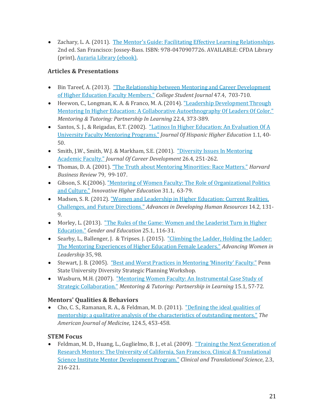• Zachary, L. A. (2011). The Mentor's Guide: Facilitating Effective Learning Relationships. 2nd ed. San Francisco: Jossey-Bass. ISBN: 978-0470907726. AVAILABLE: CFDA Library (print), Auraria Library (ebook).

### **Articles & Presentations**

- Bin Tareef, A. (2013). "The Relationship between Mentoring and Career Development of Higher Education Faculty Members." *College Student Journal* 47.4, 703-710.
- Heewon, C., Longman, K. A. & Franco, M. A. (2014). "Leadership Development Through Mentoring In Higher Education: A Collaborative Autoethnography Of Leaders Of Color." *Mentoring & Tutoring: Partnership In Learning* 22.4, 373-389.
- Santos, S. J., & Reigadas, E.T. (2002). "Latinos In Higher Education: An Evaluation Of A University Faculty Mentoring Programs." *Journal Of Hispanic Higher Education* 1.1, 40- 50.
- Smith, J.W., Smith, W.J. & Markham, S.E. (2001). "Diversity Issues In Mentoring Academic Faculty." *Journal Of Career Development* 26.4, 251-262.
- Thomas, D. A. (2001). "The Truth about Mentoring Minorities: Race Matters." *Harvard Business Review* 79, 99-107.
- Gibson, S. K.(2006). "Mentoring of Women Faculty: The Role of Organizational Politics and Culture." *Innovative Higher Education* 31.1, 63-79.
- Madsen, S. R. (2012). "Women and Leadership in Higher Education: Current Realities, Challenges, and Future Directions." *Advances in Developing Human Resources* 14.2, 131-9.
- Morley, L. (2013). "The Rules of the Game: Women and the Leaderist Turn in Higher Education." Gender and Education 25.1, 116-31.
- Searby, L., Ballenger, J. & Tripses. J. (2015). "Climbing the Ladder, Holding the Ladder: The Mentoring Experiences of Higher Education Female Leaders." *Advancing Women in* Leadership 35, 98.
- Stewart, J. B. (2005). "Best and Worst Practices in Mentoring 'Minority' Faculty." Penn State University Diversity Strategic Planning Workshop.
- Wasburn, M.H. (2007). "Mentoring Women Faculty: An Instrumental Case Study of Strategic Collaboration." *Mentoring & Tutoring: Partnership in Learning* 15.1, 57-72.

### **Mentors' Qualities & Behaviors**

• Cho, C. S., Ramanan, R. A., & Feldman, M. D. (2011). "Defining the ideal qualities of mentorship: a qualitative analysis of the characteristics of outstanding mentors." The *American Journal of Medicine*, 124.5, 453-458.

### **STEM Focus**

Feldman, M. D., Huang, L., Guglielmo, B. J., et al. (2009). "Training the Next Generation of Research Mentors: The University of California, San Francisco, Clinical & Translational Science Institute Mentor Development Program." *Clinical and Translational Science*, 2.3, 216-221.